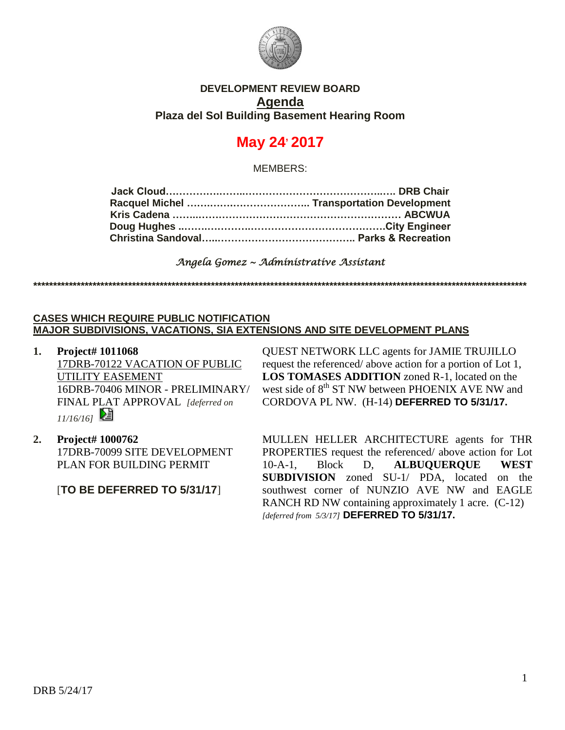

# **DEVELOPMENT REVIEW BOARD Agenda Plaza del Sol Building Basement Hearing Room**

# **May 24, 2017**

MEMBERS:

## *Angela Gomez ~ Administrative Assistant*

**\*\*\*\*\*\*\*\*\*\*\*\*\*\*\*\*\*\*\*\*\*\*\*\*\*\*\*\*\*\*\*\*\*\*\*\*\*\*\*\*\*\*\*\*\*\*\*\*\*\*\*\*\*\*\*\*\*\*\*\*\*\*\*\*\*\*\*\*\*\*\*\*\*\*\*\*\*\*\*\*\*\*\*\*\*\*\*\*\*\*\*\*\*\*\*\*\*\*\*\*\*\*\*\*\*\*\*\*\*\*\*\*\*\*\*\*\*\*\*\*\*\*\*\*\***

#### **CASES WHICH REQUIRE PUBLIC NOTIFICATION MAJOR SUBDIVISIONS, VACATIONS, SIA EXTENSIONS AND SITE DEVELOPMENT PLANS**

**1. Project# 1011068** 17DRB-70122 VACATION OF PUBLIC UTILITY EASEMENT 16DRB-70406 MINOR - PRELIMINARY/ FINAL PLAT APPROVAL *[deferred on 11/16/16]* 

**2. Project# 1000762** 17DRB-70099 SITE DEVELOPMENT PLAN FOR BUILDING PERMIT

[**TO BE DEFERRED TO 5/31/17**]

QUEST NETWORK LLC agents for JAMIE TRUJILLO request the referenced/ above action for a portion of Lot 1, **LOS TOMASES ADDITION** zoned R-1, located on the west side of 8<sup>th</sup> ST NW between PHOENIX AVE NW and CORDOVA PL NW. (H-14) **DEFERRED TO 5/31/17.**

MULLEN HELLER ARCHITECTURE agents for THR PROPERTIES request the referenced/ above action for Lot 10-A-1, Block D, **ALBUQUERQUE WEST SUBDIVISION** zoned SU-1/ PDA, located on the southwest corner of NUNZIO AVE NW and EAGLE RANCH RD NW containing approximately 1 acre. (C-12) *[deferred from 5/3/17]* **DEFERRED TO 5/31/17.**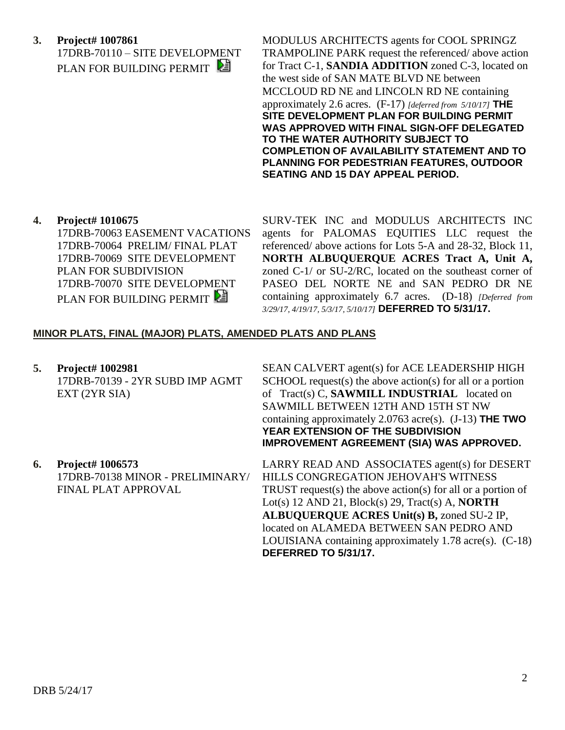**3. Project# 1007861** 17DRB-70110 – SITE DEVELOPMENT PLAN FOR BUILDING PERMIT

MODULUS ARCHITECTS agents for COOL SPRINGZ TRAMPOLINE PARK request the referenced/ above action for Tract C-1, **SANDIA ADDITION** zoned C-3, located on the west side of SAN MATE BLVD NE between MCCLOUD RD NE and LINCOLN RD NE containing approximately 2.6 acres. (F-17) *[deferred from 5/10/17]* **THE SITE DEVELOPMENT PLAN FOR BUILDING PERMIT WAS APPROVED WITH FINAL SIGN-OFF DELEGATED TO THE WATER AUTHORITY SUBJECT TO COMPLETION OF AVAILABILITY STATEMENT AND TO PLANNING FOR PEDESTRIAN FEATURES, OUTDOOR SEATING AND 15 DAY APPEAL PERIOD.**

**4. Project# 1010675**

17DRB-70063 EASEMENT VACATIONS 17DRB-70064 PRELIM/ FINAL PLAT 17DRB-70069 SITE DEVELOPMENT PLAN FOR SUBDIVISION 17DRB-70070 SITE DEVELOPMENT PLAN FOR BUILDING PERMIT

SURV-TEK INC and MODULUS ARCHITECTS INC agents for PALOMAS EQUITIES LLC request the referenced/ above actions for Lots 5-A and 28-32, Block 11, **NORTH ALBUQUERQUE ACRES Tract A, Unit A,** zoned C-1/ or SU-2/RC, located on the southeast corner of PASEO DEL NORTE NE and SAN PEDRO DR NE containing approximately 6.7 acres. (D-18) *[Deferred from 3/29/17, 4/19/17, 5/3/17, 5/10/17]* **DEFERRED TO 5/31/17.**

## **MINOR PLATS, FINAL (MAJOR) PLATS, AMENDED PLATS AND PLANS**

**5. Project# 1002981** 17DRB-70139 - 2YR SUBD IMP AGMT EXT (2YR SIA)

SEAN CALVERT agent(s) for ACE LEADERSHIP HIGH SCHOOL request(s) the above action(s) for all or a portion of Tract(s) C, **SAWMILL INDUSTRIAL** located on SAWMILL BETWEEN 12TH AND 15TH ST NW containing approximately 2.0763 acre(s). (J-13) **THE TWO YEAR EXTENSION OF THE SUBDIVISION IMPROVEMENT AGREEMENT (SIA) WAS APPROVED.**

**6. Project# 1006573** 17DRB-70138 MINOR - PRELIMINARY/ FINAL PLAT APPROVAL

LARRY READ AND ASSOCIATES agent(s) for DESERT HILLS CONGREGATION JEHOVAH'S WITNESS TRUST request(s) the above action(s) for all or a portion of Lot(s) 12 AND 21, Block(s) 29, Tract(s) A, **NORTH ALBUQUERQUE ACRES Unit(s) B,** zoned SU-2 IP, located on ALAMEDA BETWEEN SAN PEDRO AND LOUISIANA containing approximately 1.78 acre(s). (C-18) **DEFERRED TO 5/31/17.**